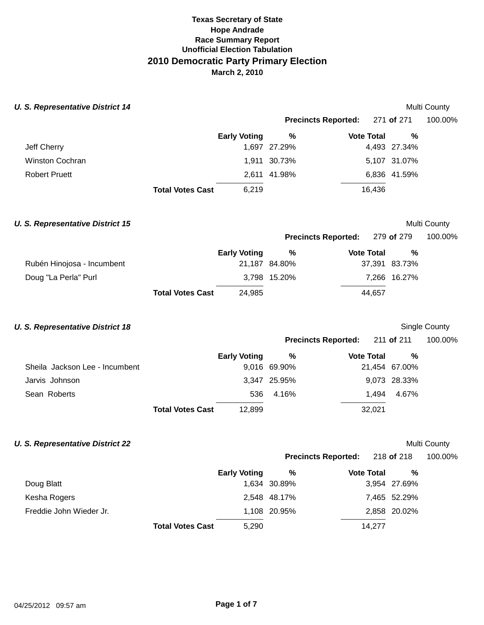## **Texas Secretary of State Race Summary Report Unofficial Election Tabulation 2010 Democratic Party Primary Election March 2, 2010 Hope Andrade**

| <b>U. S. Representative District 14</b> |                         |                     |                            |                   |               | Multi County  |
|-----------------------------------------|-------------------------|---------------------|----------------------------|-------------------|---------------|---------------|
|                                         |                         |                     | <b>Precincts Reported:</b> |                   | 271 of 271    | 100.00%       |
|                                         |                         | <b>Early Voting</b> | %                          | <b>Vote Total</b> | %             |               |
| Jeff Cherry                             |                         |                     | 1,697 27.29%               |                   | 4,493 27.34%  |               |
| Winston Cochran                         |                         |                     | 1,911 30.73%               |                   | 5,107 31.07%  |               |
| <b>Robert Pruett</b>                    |                         |                     | 2,611 41.98%               |                   | 6,836 41.59%  |               |
|                                         | <b>Total Votes Cast</b> | 6,219               |                            | 16,436            |               |               |
| <b>U. S. Representative District 15</b> |                         |                     |                            |                   |               | Multi County  |
|                                         |                         |                     | <b>Precincts Reported:</b> |                   | 279 of 279    | 100.00%       |
|                                         |                         | <b>Early Voting</b> | %                          | <b>Vote Total</b> | %             |               |
| Rubén Hinojosa - Incumbent              |                         |                     | 21,187 84.80%              |                   | 37,391 83.73% |               |
| Doug "La Perla" Purl                    |                         |                     | 3,798 15.20%               |                   | 7,266 16.27%  |               |
|                                         | <b>Total Votes Cast</b> | 24,985              |                            | 44,657            |               |               |
|                                         |                         |                     |                            |                   |               |               |
| <b>U. S. Representative District 18</b> |                         |                     |                            |                   |               | Single County |
|                                         |                         |                     | <b>Precincts Reported:</b> |                   | 211 of 211    | 100.00%       |
|                                         |                         | <b>Early Voting</b> | %                          | <b>Vote Total</b> | %             |               |
| Sheila Jackson Lee - Incumbent          |                         |                     | 9,016 69.90%               |                   | 21,454 67.00% |               |
| Jarvis Johnson                          |                         |                     | 3,347 25.95%               |                   | 9,073 28.33%  |               |
| Sean Roberts                            |                         | 536                 | 4.16%                      | 1,494             | 4.67%         |               |
|                                         | <b>Total Votes Cast</b> | 12,899              |                            | 32,021            |               |               |
| <b>U. S. Representative District 22</b> |                         |                     |                            |                   |               | Multi County  |
|                                         |                         |                     | <b>Precincts Reported:</b> |                   | 218 of 218    | 100.00%       |
|                                         |                         | <b>Early Voting</b> | %                          | <b>Vote Total</b> | %             |               |
| Doug Blatt                              |                         |                     | 1,634 30.89%               |                   | 3,954 27.69%  |               |
| Kesha Rogers                            |                         |                     | 2,548 48.17%               |                   | 7,465 52.29%  |               |
| Freddie John Wieder Jr.                 |                         |                     | 1,108 20.95%               |                   | 2,858 20.02%  |               |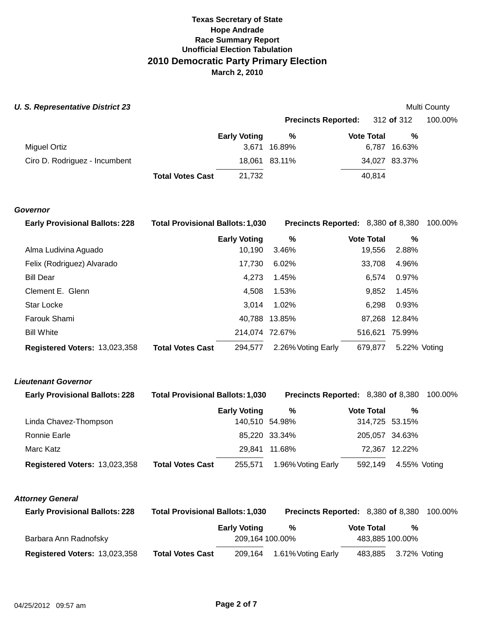#### **U. S. Representative District 23 Multi County** *Multi County* **Multi County**

|                               |                         |                     |               | <b>Precincts Reported:</b> 312 of 312 |               | 100.00% |
|-------------------------------|-------------------------|---------------------|---------------|---------------------------------------|---------------|---------|
|                               |                         | <b>Early Voting</b> | %             | <b>Vote Total</b>                     | %             |         |
| Miguel Ortiz                  |                         |                     | 3.671 16.89%  |                                       | 6,787 16.63%  |         |
| Ciro D. Rodriguez - Incumbent |                         |                     | 18,061 83.11% |                                       | 34,027 83.37% |         |
|                               | <b>Total Votes Cast</b> | 21.732              |               | 40.814                                |               |         |

#### **Governor**

| <b>Early Provisional Ballots: 228</b> | <b>Total Provisional Ballots: 1,030</b> |                     |                    | <b>Precincts Reported: 8,380 of 8,380 100.00%</b> |               |  |
|---------------------------------------|-----------------------------------------|---------------------|--------------------|---------------------------------------------------|---------------|--|
|                                       |                                         | <b>Early Voting</b> | %                  | <b>Vote Total</b>                                 | %             |  |
| Alma Ludivina Aguado                  |                                         | 10,190              | 3.46%              | 19,556                                            | 2.88%         |  |
| Felix (Rodriguez) Alvarado            |                                         | 17.730              | 6.02%              | 33.708                                            | 4.96%         |  |
| <b>Bill Dear</b>                      |                                         | 4.273               | 1.45%              | 6.574                                             | 0.97%         |  |
| Clement E. Glenn                      |                                         | 4,508               | 1.53%              | 9.852                                             | 1.45%         |  |
| <b>Star Locke</b>                     |                                         | 3.014               | 1.02%              | 6.298                                             | 0.93%         |  |
| Farouk Shami                          |                                         |                     | 40,788 13.85%      |                                                   | 87,268 12.84% |  |
| <b>Bill White</b>                     |                                         | 214,074 72.67%      |                    | 516.621                                           | 75.99%        |  |
| Registered Voters: 13,023,358         | <b>Total Votes Cast</b>                 | 294.577             | 2.26% Voting Early | 679,877                                           | 5.22% Voting  |  |

## **Lieutenant Governor**

| <b>Early Provisional Ballots: 228</b> | <b>Total Provisional Ballots: 1,030</b> |                     |                    | <b>Precincts Reported: 8,380 of 8,380 100.00%</b> |                   |                |  |
|---------------------------------------|-----------------------------------------|---------------------|--------------------|---------------------------------------------------|-------------------|----------------|--|
|                                       |                                         | <b>Early Voting</b> | %                  |                                                   | <b>Vote Total</b> | %              |  |
| Linda Chavez-Thompson                 |                                         | 140,510 54.98%      |                    |                                                   |                   | 314,725 53.15% |  |
| Ronnie Earle                          |                                         |                     | 85,220 33.34%      |                                                   |                   | 205,057 34.63% |  |
| Marc Katz                             |                                         |                     | 29.841 11.68%      |                                                   |                   | 72,367 12.22%  |  |
| Registered Voters: 13,023,358         | <b>Total Votes Cast</b>                 | 255.571             | 1.96% Voting Early |                                                   | 592,149           | 4.55% Voting   |  |

### **Attorney General**

| <b>Early Provisional Ballots: 228</b> | <b>Total Provisional Ballots: 1,030</b> |                     | Precincts Reported: 8,380 of 8,380 |  |                   |                      | 100.00% |
|---------------------------------------|-----------------------------------------|---------------------|------------------------------------|--|-------------------|----------------------|---------|
|                                       |                                         | <b>Early Voting</b> | %                                  |  | <b>Vote Total</b> | %                    |         |
| Barbara Ann Radnofsky                 |                                         | 209.164 100.00%     |                                    |  |                   | 483,885 100.00%      |         |
| Registered Voters: 13,023,358         | <b>Total Votes Cast</b>                 |                     | 209,164 1.61% Voting Early         |  |                   | 483,885 3.72% Voting |         |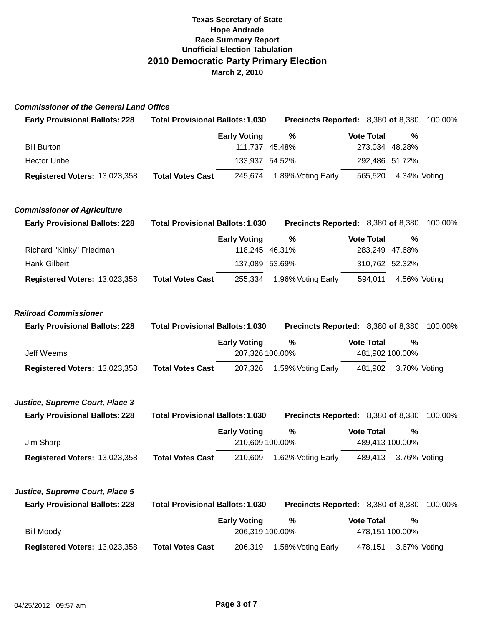#### **Commissioner of the General Land Office**

| <b>Early Provisional Ballots: 228</b> | <b>Total Provisional Ballots: 1,030</b> |                                        | Precincts Reported: 8,380 of 8,380 |                                      |              | 100.00% |
|---------------------------------------|-----------------------------------------|----------------------------------------|------------------------------------|--------------------------------------|--------------|---------|
| <b>Bill Burton</b>                    |                                         | <b>Early Voting</b><br>111,737 45.48%  | $\%$                               | <b>Vote Total</b><br>273,034 48.28%  | %            |         |
| <b>Hector Uribe</b>                   |                                         | 133,937 54.52%                         |                                    | 292,486 51.72%                       |              |         |
| Registered Voters: 13,023,358         | <b>Total Votes Cast</b>                 | 245,674                                | 1.89% Voting Early                 | 565,520                              | 4.34% Voting |         |
| <b>Commissioner of Agriculture</b>    |                                         |                                        |                                    |                                      |              |         |
| <b>Early Provisional Ballots: 228</b> | <b>Total Provisional Ballots: 1,030</b> |                                        | Precincts Reported: 8,380 of 8,380 |                                      |              | 100.00% |
|                                       |                                         | <b>Early Voting</b>                    | $\%$                               | <b>Vote Total</b>                    | %            |         |
| Richard "Kinky" Friedman              |                                         | 118,245 46.31%                         |                                    | 283,249 47.68%                       |              |         |
| <b>Hank Gilbert</b>                   |                                         | 137,089 53.69%                         |                                    | 310,762 52.32%                       |              |         |
| Registered Voters: 13,023,358         | <b>Total Votes Cast</b>                 | 255,334                                | 1.96% Voting Early                 | 594,011                              | 4.56% Voting |         |
| <b>Railroad Commissioner</b>          |                                         |                                        |                                    |                                      |              |         |
| <b>Early Provisional Ballots: 228</b> | <b>Total Provisional Ballots: 1,030</b> |                                        | Precincts Reported: 8,380 of 8,380 |                                      |              | 100.00% |
|                                       |                                         |                                        |                                    |                                      |              |         |
| Jeff Weems                            |                                         | <b>Early Voting</b><br>207,326 100.00% | $\%$                               | <b>Vote Total</b><br>481,902 100.00% | %            |         |
| Registered Voters: 13,023,358         | <b>Total Votes Cast</b>                 | 207,326                                | 1.59% Voting Early                 | 481,902                              | 3.70% Voting |         |
| Justice, Supreme Court, Place 3       |                                         |                                        |                                    |                                      |              |         |
| <b>Early Provisional Ballots: 228</b> | <b>Total Provisional Ballots: 1,030</b> |                                        | Precincts Reported: 8,380 of 8,380 |                                      |              | 100.00% |
| Jim Sharp                             |                                         | <b>Early Voting</b><br>210,609 100.00% | $\%$                               | <b>Vote Total</b><br>489,413 100.00% | %            |         |
| Registered Voters: 13,023,358         | <b>Total Votes Cast</b>                 | 210,609                                | 1.62% Voting Early                 | 489,413                              | 3.76% Voting |         |
| Justice, Supreme Court, Place 5       |                                         |                                        |                                    |                                      |              |         |
| <b>Early Provisional Ballots: 228</b> | <b>Total Provisional Ballots: 1,030</b> |                                        | Precincts Reported: 8,380 of 8,380 |                                      |              | 100.00% |
| <b>Bill Moody</b>                     |                                         | <b>Early Voting</b><br>206,319 100.00% | $\%$                               | <b>Vote Total</b><br>478,151 100.00% | %            |         |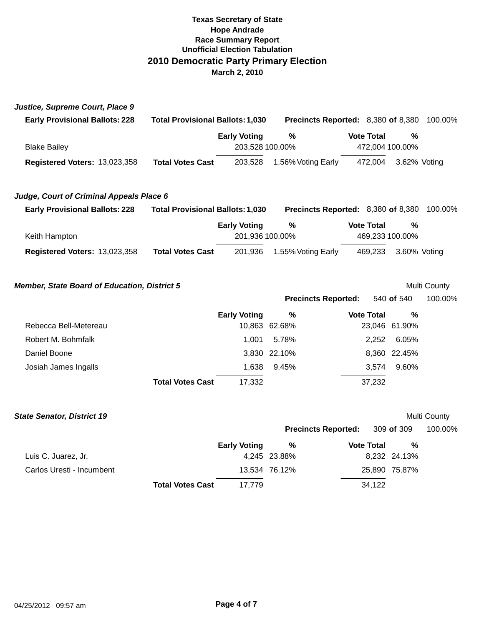| Justice, Supreme Court, Place 9                     |                                         |                                        |                                    |                   |                      |              |
|-----------------------------------------------------|-----------------------------------------|----------------------------------------|------------------------------------|-------------------|----------------------|--------------|
| <b>Early Provisional Ballots: 228</b>               | <b>Total Provisional Ballots: 1,030</b> |                                        | Precincts Reported: 8,380 of 8,380 |                   |                      | 100.00%      |
| <b>Blake Bailey</b>                                 |                                         | <b>Early Voting</b><br>203,528 100.00% | %                                  | <b>Vote Total</b> | %<br>472,004 100.00% |              |
| Registered Voters: 13,023,358                       | <b>Total Votes Cast</b>                 | 203,528                                | 1.56% Voting Early                 | 472,004           | 3.62% Voting         |              |
| Judge, Court of Criminal Appeals Place 6            |                                         |                                        |                                    |                   |                      |              |
| <b>Early Provisional Ballots: 228</b>               | <b>Total Provisional Ballots: 1,030</b> |                                        | Precincts Reported: 8,380 of 8,380 |                   |                      | 100.00%      |
| Keith Hampton                                       |                                         | <b>Early Voting</b><br>201,936 100.00% | %                                  | <b>Vote Total</b> | %<br>469,233 100.00% |              |
| Registered Voters: 13,023,358                       | <b>Total Votes Cast</b>                 | 201,936                                | 1.55% Voting Early                 | 469,233           | 3.60% Voting         |              |
| <b>Member, State Board of Education, District 5</b> |                                         |                                        |                                    |                   |                      | Multi County |
|                                                     |                                         |                                        | <b>Precincts Reported:</b>         |                   | 540 of 540           | 100.00%      |
|                                                     |                                         | <b>Early Voting</b>                    | $\frac{0}{0}$                      | <b>Vote Total</b> | $\frac{0}{0}$        |              |
| Rebecca Bell-Metereau                               |                                         |                                        | 10,863 62.68%                      |                   | 23,046 61.90%        |              |
| Robert M. Bohmfalk                                  |                                         | 1,001                                  | 5.78%                              | 2,252             | 6.05%                |              |
| Daniel Boone                                        |                                         |                                        | 3,830 22.10%                       |                   | 8,360 22.45%         |              |
| Josiah James Ingalls                                |                                         | 1,638                                  | 9.45%                              | 3,574             | 9.60%                |              |
|                                                     | <b>Total Votes Cast</b>                 | 17,332                                 |                                    | 37,232            |                      |              |
| <b>State Senator, District 19</b>                   |                                         |                                        |                                    |                   |                      | Multi County |
|                                                     |                                         |                                        | <b>Precincts Reported:</b>         |                   | 309 of 309           | 100.00%      |
|                                                     |                                         | <b>Early Voting</b>                    | %                                  | <b>Vote Total</b> | %                    |              |
| Luis C. Juarez, Jr.                                 |                                         |                                        | 4,245 23.88%                       |                   | 8,232 24.13%         |              |
| Carlos Uresti - Incumbent                           |                                         |                                        | 13,534 76.12%                      |                   | 25,890 75.87%        |              |
|                                                     | <b>Total Votes Cast</b>                 | 17,779                                 |                                    | 34,122            |                      |              |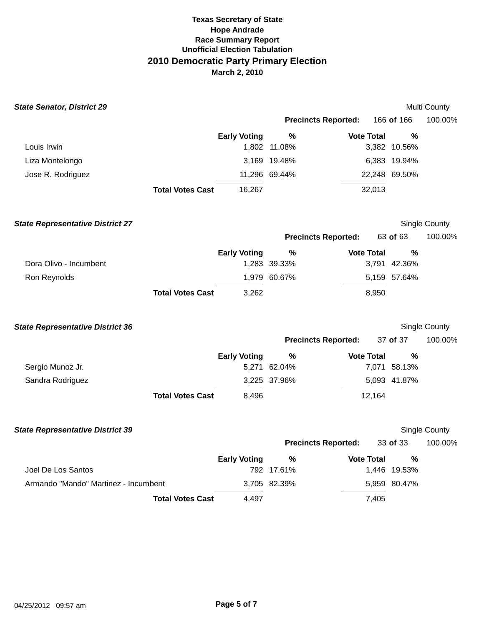| <b>State Senator, District 29</b>       |                         |                     |                            |                   |               | Multi County  |
|-----------------------------------------|-------------------------|---------------------|----------------------------|-------------------|---------------|---------------|
|                                         |                         |                     | <b>Precincts Reported:</b> |                   | 166 of 166    | 100.00%       |
|                                         |                         | <b>Early Voting</b> | %                          | <b>Vote Total</b> | %             |               |
| Louis Irwin                             |                         |                     | 1,802 11.08%               |                   | 3,382 10.56%  |               |
| Liza Montelongo                         |                         |                     | 3,169 19.48%               |                   | 6,383 19.94%  |               |
| Jose R. Rodriguez                       |                         |                     | 11,296 69.44%              |                   | 22,248 69.50% |               |
|                                         | <b>Total Votes Cast</b> | 16,267              |                            | 32,013            |               |               |
| <b>State Representative District 27</b> |                         |                     |                            |                   |               | Single County |
|                                         |                         |                     | <b>Precincts Reported:</b> |                   | 63 of 63      | 100.00%       |
|                                         |                         | <b>Early Voting</b> | %                          | <b>Vote Total</b> | %             |               |
| Dora Olivo - Incumbent                  |                         |                     | 1,283 39.33%               |                   | 3,791 42.36%  |               |
| Ron Reynolds                            |                         |                     | 1,979 60.67%               |                   | 5,159 57.64%  |               |
|                                         | <b>Total Votes Cast</b> | 3,262               |                            | 8,950             |               |               |
| <b>State Representative District 36</b> |                         |                     |                            |                   |               | Single County |
|                                         |                         |                     | <b>Precincts Reported:</b> |                   | 37 of 37      | 100.00%       |
|                                         |                         | <b>Early Voting</b> | %                          | <b>Vote Total</b> | %             |               |
| Sergio Munoz Jr.                        |                         |                     | 5,271 62.04%               |                   | 7,071 58.13%  |               |
| Sandra Rodriguez                        |                         |                     | 3,225 37.96%               |                   | 5,093 41.87%  |               |
|                                         | <b>Total Votes Cast</b> | 8,496               |                            | 12,164            |               |               |
| <b>State Representative District 39</b> |                         |                     |                            |                   |               | Single County |
|                                         |                         |                     | <b>Precincts Reported:</b> |                   | 33 of 33      | 100.00%       |
|                                         |                         | <b>Early Voting</b> | %                          | <b>Vote Total</b> | %             |               |
| Joel De Los Santos                      |                         |                     | 792 17.61%                 |                   | 1,446 19.53%  |               |
| Armando "Mando" Martinez - Incumbent    |                         |                     | 3,705 82.39%               |                   | 5,959 80.47%  |               |
|                                         | <b>Total Votes Cast</b> | 4,497               |                            | 7,405             |               |               |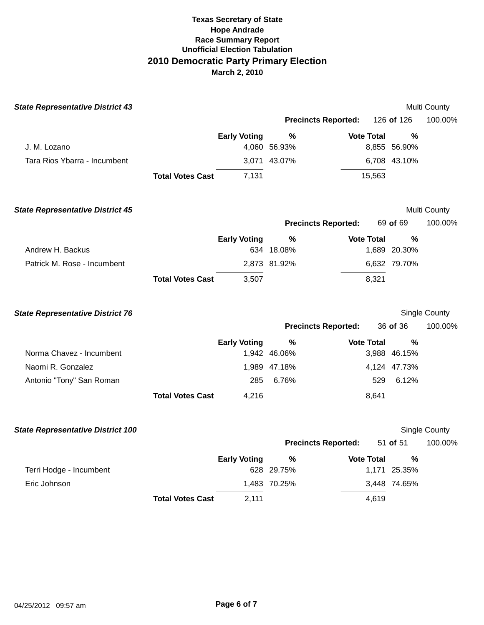| <b>State Representative District 43</b>  |                         |                     |                            |                   |              | Multi County  |
|------------------------------------------|-------------------------|---------------------|----------------------------|-------------------|--------------|---------------|
|                                          |                         |                     | <b>Precincts Reported:</b> |                   | 126 of 126   | 100.00%       |
|                                          |                         | <b>Early Voting</b> | %                          | <b>Vote Total</b> | %            |               |
| J. M. Lozano                             |                         |                     | 4,060 56.93%               |                   | 8,855 56.90% |               |
| Tara Rios Ybarra - Incumbent             |                         |                     | 3,071 43.07%               |                   | 6,708 43.10% |               |
|                                          | <b>Total Votes Cast</b> | 7,131               |                            | 15,563            |              |               |
| <b>State Representative District 45</b>  |                         |                     |                            |                   |              | Multi County  |
|                                          |                         |                     | <b>Precincts Reported:</b> |                   | 69 of 69     | 100.00%       |
|                                          |                         | <b>Early Voting</b> | $\%$                       | <b>Vote Total</b> | %            |               |
| Andrew H. Backus                         |                         |                     | 634 18.08%                 |                   | 1,689 20.30% |               |
| Patrick M. Rose - Incumbent              |                         |                     | 2,873 81.92%               |                   | 6,632 79.70% |               |
|                                          | <b>Total Votes Cast</b> | 3,507               |                            | 8,321             |              |               |
| <b>State Representative District 76</b>  |                         |                     |                            |                   |              | Single County |
|                                          |                         |                     | <b>Precincts Reported:</b> |                   | 36 of 36     | 100.00%       |
|                                          |                         | <b>Early Voting</b> | $\%$                       | <b>Vote Total</b> | %            |               |
| Norma Chavez - Incumbent                 |                         |                     | 1,942 46.06%               |                   | 3,988 46.15% |               |
| Naomi R. Gonzalez                        |                         |                     | 1,989 47.18%               |                   | 4,124 47.73% |               |
| Antonio "Tony" San Roman                 |                         | 285                 | 6.76%                      | 529               | 6.12%        |               |
|                                          | <b>Total Votes Cast</b> | 4,216               |                            | 8,641             |              |               |
| <b>State Representative District 100</b> |                         |                     |                            |                   |              | Single County |
|                                          |                         |                     | <b>Precincts Reported:</b> |                   | 51 of 51     | 100.00%       |
|                                          |                         | <b>Early Voting</b> | %                          | <b>Vote Total</b> | %            |               |
| Terri Hodge - Incumbent                  |                         |                     | 628 29.75%                 |                   | 1,171 25.35% |               |
| Eric Johnson                             |                         |                     | 1,483 70.25%               |                   | 3,448 74.65% |               |
|                                          | <b>Total Votes Cast</b> | 2,111               |                            | 4,619             |              |               |